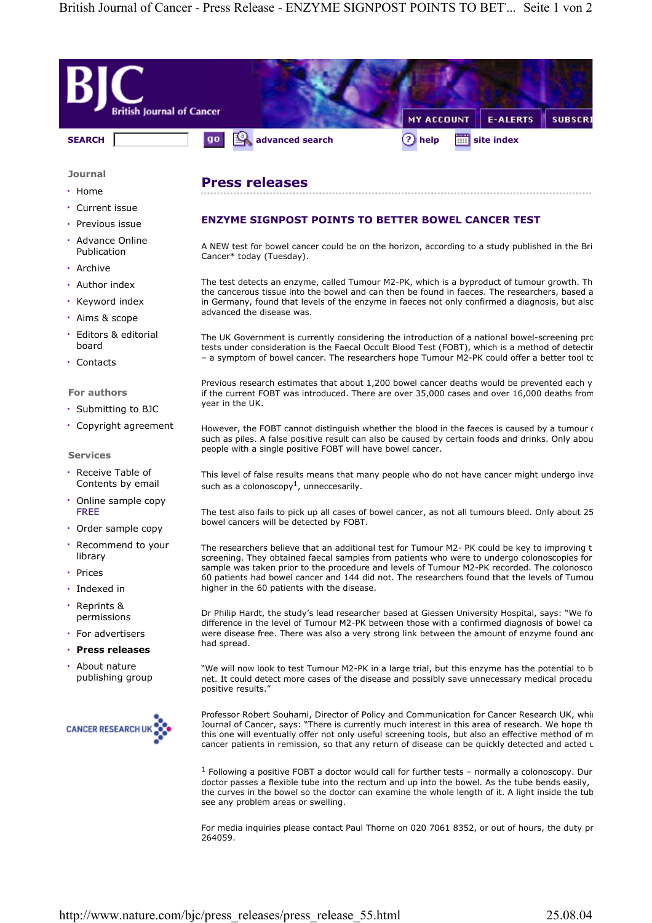